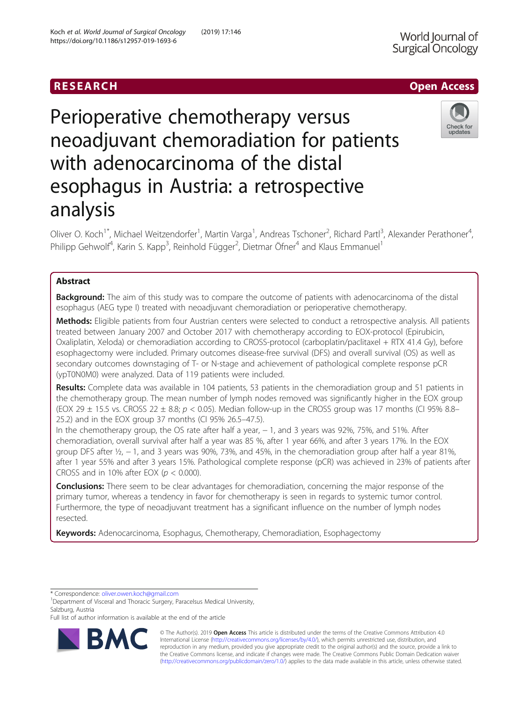## RESEARCH **RESEARCH CHOOSE ACCESS**

# Perioperative chemotherapy versus neoadjuvant chemoradiation for patients with adenocarcinoma of the distal esophagus in Austria: a retrospective analysis

Oliver O. Koch<sup>1\*</sup>, Michael Weitzendorfer<sup>1</sup>, Martin Varga<sup>1</sup>, Andreas Tschoner<sup>2</sup>, Richard Partl<sup>3</sup>, Alexander Perathoner<sup>4</sup> , Philipp Gehwolf<sup>4</sup>, Karin S. Kapp<sup>3</sup>, Reinhold Függer<sup>2</sup>, Dietmar Öfner<sup>4</sup> and Klaus Emmanuel<sup>1</sup>

## Abstract

**Background:** The aim of this study was to compare the outcome of patients with adenocarcinoma of the distal esophagus (AEG type I) treated with neoadjuvant chemoradiation or perioperative chemotherapy.

Methods: Eligible patients from four Austrian centers were selected to conduct a retrospective analysis. All patients treated between January 2007 and October 2017 with chemotherapy according to EOX-protocol (Epirubicin, Oxaliplatin, Xeloda) or chemoradiation according to CROSS-protocol (carboplatin/paclitaxel + RTX 41.4 Gy), before esophagectomy were included. Primary outcomes disease-free survival (DFS) and overall survival (OS) as well as secondary outcomes downstaging of T- or N-stage and achievement of pathological complete response pCR (ypT0N0M0) were analyzed. Data of 119 patients were included.

Results: Complete data was available in 104 patients, 53 patients in the chemoradiation group and 51 patients in the chemotherapy group. The mean number of lymph nodes removed was significantly higher in the EOX group (EOX 29  $\pm$  15.5 vs. CROSS 22  $\pm$  8.8;  $p <$  0.05). Median follow-up in the CROSS group was 17 months (CI 95% 8.8– 25.2) and in the EOX group 37 months (CI 95% 26.5–47.5).

In the chemotherapy group, the OS rate after half a year, − 1, and 3 years was 92%, 75%, and 51%. After chemoradiation, overall survival after half a year was 85 %, after 1 year 66%, and after 3 years 17%. In the EOX group DFS after ½, − 1, and 3 years was 90%, 73%, and 45%, in the chemoradiation group after half a year 81%, after 1 year 55% and after 3 years 15%. Pathological complete response (pCR) was achieved in 23% of patients after CROSS and in 10% after EOX ( $p < 0.000$ ).

**Conclusions:** There seem to be clear advantages for chemoradiation, concerning the major response of the primary tumor, whereas a tendency in favor for chemotherapy is seen in regards to systemic tumor control. Furthermore, the type of neoadjuvant treatment has a significant influence on the number of lymph nodes resected.

Keywords: Adenocarcinoma, Esophagus, Chemotherapy, Chemoradiation, Esophagectomy

<sup>1</sup>Department of Visceral and Thoracic Surgery, Paracelsus Medical University, Salzburg, Austria

Full list of author information is available at the end of the article

© The Author(s). 2019 Open Access This article is distributed under the terms of the Creative Commons Attribution 4.0 International License [\(http://creativecommons.org/licenses/by/4.0/](http://creativecommons.org/licenses/by/4.0/)), which permits unrestricted use, distribution, and reproduction in any medium, provided you give appropriate credit to the original author(s) and the source, provide a link to the Creative Commons license, and indicate if changes were made. The Creative Commons Public Domain Dedication waiver [\(http://creativecommons.org/publicdomain/zero/1.0/](http://creativecommons.org/publicdomain/zero/1.0/)) applies to the data made available in this article, unless otherwise stated.







<sup>\*</sup> Correspondence: [oliver.owen.koch@gmail.com](mailto:oliver.owen.koch@gmail.com) <sup>1</sup>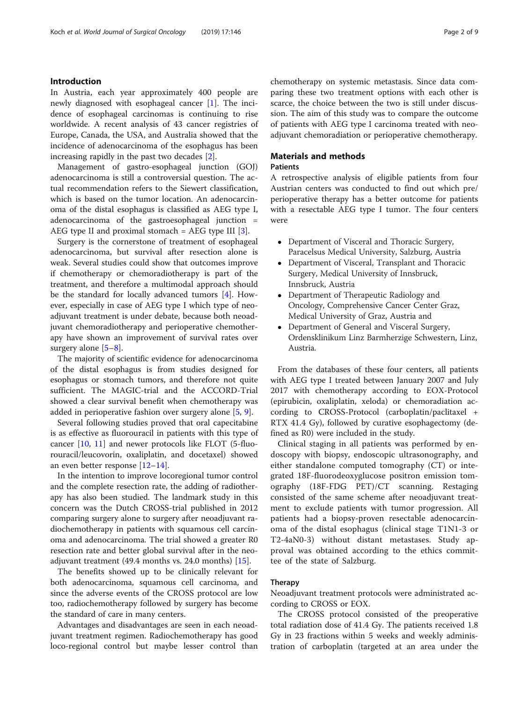## Introduction

In Austria, each year approximately 400 people are newly diagnosed with esophageal cancer [\[1](#page-7-0)]. The incidence of esophageal carcinomas is continuing to rise worldwide. A recent analysis of 43 cancer registries of Europe, Canada, the USA, and Australia showed that the incidence of adenocarcinoma of the esophagus has been increasing rapidly in the past two decades [\[2](#page-7-0)].

Management of gastro-esophageal junction (GOJ) adenocarcinoma is still a controversial question. The actual recommendation refers to the Siewert classification, which is based on the tumor location. An adenocarcinoma of the distal esophagus is classified as AEG type I, adenocarcinoma of the gastroesophageal junction = AEG type II and proximal stomach = AEG type III  $[3]$ .

Surgery is the cornerstone of treatment of esophageal adenocarcinoma, but survival after resection alone is weak. Several studies could show that outcomes improve if chemotherapy or chemoradiotherapy is part of the treatment, and therefore a multimodal approach should be the standard for locally advanced tumors [[4\]](#page-7-0). However, especially in case of AEG type I which type of neoadjuvant treatment is under debate, because both neoadjuvant chemoradiotherapy and perioperative chemotherapy have shown an improvement of survival rates over surgery alone [[5](#page-7-0)–[8](#page-7-0)].

The majority of scientific evidence for adenocarcinoma of the distal esophagus is from studies designed for esophagus or stomach tumors, and therefore not quite sufficient. The MAGIC-trial and the ACCORD-Trial showed a clear survival benefit when chemotherapy was added in perioperative fashion over surgery alone [\[5](#page-7-0), [9\]](#page-7-0).

Several following studies proved that oral capecitabine is as effective as fluorouracil in patients with this type of cancer [\[10](#page-7-0), [11](#page-7-0)] and newer protocols like FLOT (5-fluorouracil/leucovorin, oxaliplatin, and docetaxel) showed an even better response [[12](#page-7-0)–[14](#page-7-0)].

In the intention to improve locoregional tumor control and the complete resection rate, the adding of radiotherapy has also been studied. The landmark study in this concern was the Dutch CROSS-trial published in 2012 comparing surgery alone to surgery after neoadjuvant radiochemotherapy in patients with squamous cell carcinoma and adenocarcinoma. The trial showed a greater R0 resection rate and better global survival after in the neoadjuvant treatment (49.4 months vs. 24.0 months) [[15\]](#page-7-0).

The benefits showed up to be clinically relevant for both adenocarcinoma, squamous cell carcinoma, and since the adverse events of the CROSS protocol are low too, radiochemotherapy followed by surgery has become the standard of care in many centers.

Advantages and disadvantages are seen in each neoadjuvant treatment regimen. Radiochemotherapy has good loco-regional control but maybe lesser control than chemotherapy on systemic metastasis. Since data comparing these two treatment options with each other is scarce, the choice between the two is still under discussion. The aim of this study was to compare the outcome of patients with AEG type I carcinoma treated with neoadjuvant chemoradiation or perioperative chemotherapy.

## Materials and methods

## **Patients**

A retrospective analysis of eligible patients from four Austrian centers was conducted to find out which pre/ perioperative therapy has a better outcome for patients with a resectable AEG type I tumor. The four centers were

- Department of Visceral and Thoracic Surgery, Paracelsus Medical University, Salzburg, Austria
- Department of Visceral, Transplant and Thoracic Surgery, Medical University of Innsbruck, Innsbruck, Austria
- Department of Therapeutic Radiology and Oncology, Comprehensive Cancer Center Graz, Medical University of Graz, Austria and
- Department of General and Visceral Surgery, Ordensklinikum Linz Barmherzige Schwestern, Linz, Austria.

From the databases of these four centers, all patients with AEG type I treated between January 2007 and July 2017 with chemotherapy according to EOX-Protocol (epirubicin, oxaliplatin, xeloda) or chemoradiation according to CROSS-Protocol (carboplatin/paclitaxel + RTX 41.4 Gy), followed by curative esophagectomy (defined as R0) were included in the study.

Clinical staging in all patients was performed by endoscopy with biopsy, endoscopic ultrasonography, and either standalone computed tomography (CT) or integrated 18F-fluorodeoxyglucose positron emission tomography (18F-FDG PET)/CT scanning. Restaging consisted of the same scheme after neoadjuvant treatment to exclude patients with tumor progression. All patients had a biopsy-proven resectable adenocarcinoma of the distal esophagus (clinical stage T1N1-3 or T2-4aN0-3) without distant metastases. Study approval was obtained according to the ethics committee of the state of Salzburg.

## Therapy

Neoadjuvant treatment protocols were administrated according to CROSS or EOX.

The CROSS protocol consisted of the preoperative total radiation dose of 41.4 Gy. The patients received 1.8 Gy in 23 fractions within 5 weeks and weekly administration of carboplatin (targeted at an area under the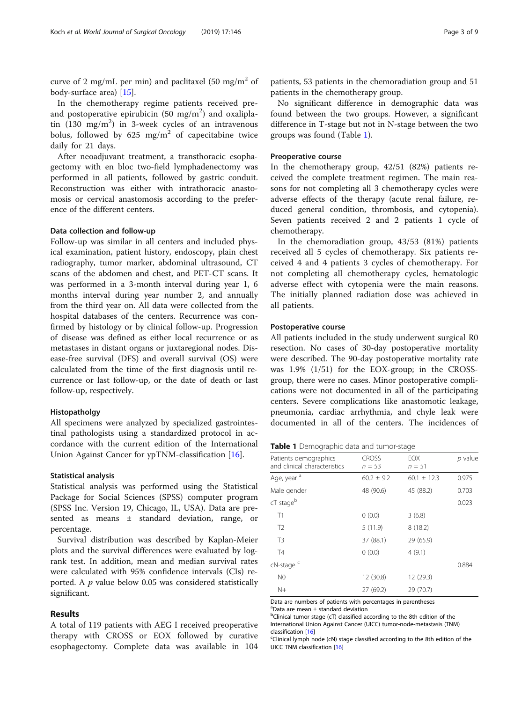curve of 2 mg/mL per min) and paclitaxel (50 mg/m<sup>2</sup> of body-surface area) [\[15\]](#page-7-0).

In the chemotherapy regime patients received preand postoperative epirubicin  $(50 \text{ mg/m}^2)$  and oxaliplatin  $(130 \text{ mg/m}^2)$  in 3-week cycles of an intravenous bolus, followed by  $625 \text{ mg/m}^2$  of capecitabine twice daily for 21 days.

After neoadjuvant treatment, a transthoracic esophagectomy with en bloc two-field lymphadenectomy was performed in all patients, followed by gastric conduit. Reconstruction was either with intrathoracic anastomosis or cervical anastomosis according to the preference of the different centers.

## Data collection and follow-up

Follow-up was similar in all centers and included physical examination, patient history, endoscopy, plain chest radiography, tumor marker, abdominal ultrasound, CT scans of the abdomen and chest, and PET-CT scans. It was performed in a 3-month interval during year 1, 6 months interval during year number 2, and annually from the third year on. All data were collected from the hospital databases of the centers. Recurrence was confirmed by histology or by clinical follow-up. Progression of disease was defined as either local recurrence or as metastases in distant organs or juxtaregional nodes. Disease-free survival (DFS) and overall survival (OS) were calculated from the time of the first diagnosis until recurrence or last follow-up, or the date of death or last follow-up, respectively.

## Histopatholgy

All specimens were analyzed by specialized gastrointestinal pathologists using a standardized protocol in accordance with the current edition of the International Union Against Cancer for ypTNM-classification [\[16\]](#page-7-0).

## Statistical analysis

Statistical analysis was performed using the Statistical Package for Social Sciences (SPSS) computer program (SPSS Inc. Version 19, Chicago, IL, USA). Data are presented as means ± standard deviation, range, or percentage.

Survival distribution was described by Kaplan-Meier plots and the survival differences were evaluated by logrank test. In addition, mean and median survival rates were calculated with 95% confidence intervals (CIs) reported. A  $p$  value below 0.05 was considered statistically significant.

## Results

A total of 119 patients with AEG I received preoperative therapy with CROSS or EOX followed by curative esophagectomy. Complete data was available in 104

patients, 53 patients in the chemoradiation group and 51 patients in the chemotherapy group.

No significant difference in demographic data was found between the two groups. However, a significant difference in T-stage but not in N-stage between the two groups was found (Table 1).

## Preoperative course

In the chemotherapy group, 42/51 (82%) patients received the complete treatment regimen. The main reasons for not completing all 3 chemotherapy cycles were adverse effects of the therapy (acute renal failure, reduced general condition, thrombosis, and cytopenia). Seven patients received 2 and 2 patients 1 cycle of chemotherapy.

In the chemoradiation group, 43/53 (81%) patients received all 5 cycles of chemotherapy. Six patients received 4 and 4 patients 3 cycles of chemotherapy. For not completing all chemotherapy cycles, hematologic adverse effect with cytopenia were the main reasons. The initially planned radiation dose was achieved in all patients.

#### Postoperative course

All patients included in the study underwent surgical R0 resection. No cases of 30-day postoperative mortality were described. The 90-day postoperative mortality rate was 1.9% (1/51) for the EOX-group; in the CROSSgroup, there were no cases. Minor postoperative complications were not documented in all of the participating centers. Severe complications like anastomotic leakage, pneumonia, cardiac arrhythmia, and chyle leak were documented in all of the centers. The incidences of

## Table 1 Demographic data and tumor-stage

| Patients demographics<br>and clinical characteristics | <b>CROSS</b><br>$n = 53$ | EOX<br>$n = 51$ | p value |
|-------------------------------------------------------|--------------------------|-----------------|---------|
| Age, year <sup>a</sup>                                | $60.2 \pm 9.2$           | $60.1 \pm 12.3$ | 0.975   |
| Male gender                                           | 48 (90.6)                | 45 (88.2)       | 0.703   |
| cT stage <sup>b</sup>                                 |                          |                 | 0.023   |
| T1                                                    | 0(0.0)                   | 3(6.8)          |         |
| T <sub>2</sub>                                        | 5(11.9)                  | 8(18.2)         |         |
| T <sub>3</sub>                                        | 37 (88.1)                | 29 (65.9)       |         |
| T4                                                    | 0(0.0)                   | 4(9.1)          |         |
| cN-stage <sup>c</sup>                                 |                          |                 | 0.884   |
| N <sub>0</sub>                                        | 12 (30.8)                | 12 (29.3)       |         |
| $N+$                                                  | 27 (69.2)                | 29 (70.7)       |         |

Data are numbers of patients with percentages in parentheses a Data are mean ± standard deviation

<sup>b</sup>Clinical tumor stage (cT) classified according to the 8th edition of the International Union Against Cancer (UICC) tumor-node-metastasis (TNM) classification [[16\]](#page-7-0)<br><sup>c</sup>Clinical lymph node (cN) stage classified according to the 8th edition of the

UICC TNM classification [[16\]](#page-7-0)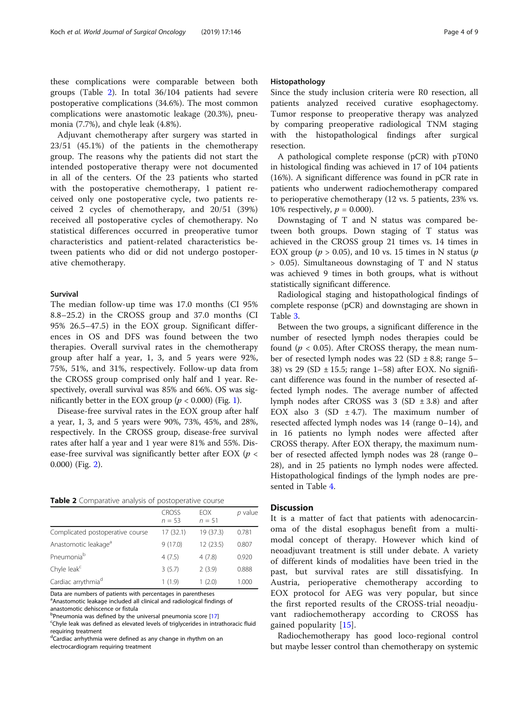these complications were comparable between both groups (Table 2). In total 36/104 patients had severe postoperative complications (34.6%). The most common complications were anastomotic leakage (20.3%), pneumonia (7.7%), and chyle leak (4.8%).

Adjuvant chemotherapy after surgery was started in 23/51 (45.1%) of the patients in the chemotherapy group. The reasons why the patients did not start the intended postoperative therapy were not documented in all of the centers. Of the 23 patients who started with the postoperative chemotherapy, 1 patient received only one postoperative cycle, two patients received 2 cycles of chemotherapy, and 20/51 (39%) received all postoperative cycles of chemotherapy. No statistical differences occurred in preoperative tumor characteristics and patient-related characteristics between patients who did or did not undergo postoperative chemotherapy.

## Survival

The median follow-up time was 17.0 months (CI 95% 8.8–25.2) in the CROSS group and 37.0 months (CI 95% 26.5–47.5) in the EOX group. Significant differences in OS and DFS was found between the two therapies. Overall survival rates in the chemotherapy group after half a year, 1, 3, and 5 years were 92%, 75%, 51%, and 31%, respectively. Follow-up data from the CROSS group comprised only half and 1 year. Respectively, overall survival was 85% and 66%. OS was significantly better in the EOX group ( $p < 0.000$ ) (Fig. [1\)](#page-4-0).

Disease-free survival rates in the EOX group after half a year, 1, 3, and 5 years were 90%, 73%, 45%, and 28%, respectively. In the CROSS group, disease-free survival rates after half a year and 1 year were 81% and 55%. Disease-free survival was significantly better after EOX ( $p <$ 0.000) (Fig. [2](#page-5-0)).

Table 2 Comparative analysis of postoperative course

|                                  | <b>CROSS</b><br>$n = 53$ | <b>FOX</b><br>$n = 51$ | $p$ value |
|----------------------------------|--------------------------|------------------------|-----------|
| Complicated postoperative course | 17(32.1)                 | 19 (37.3)              | 0.781     |
| Anastomotic leakage <sup>a</sup> | 9(17.0)                  | 12(23.5)               | 0.807     |
| Pneumonia <sup>b</sup>           | 4(7.5)                   | 4(7.8)                 | 0.920     |
| Chyle leak <sup>c</sup>          | 3(5.7)                   | 2(3.9)                 | 0.888     |
| Cardiac arrythmia <sup>d</sup>   | 1(1.9)                   | 1(2.0)                 | 1.000     |

Data are numbers of patients with percentages in parentheses

<sup>a</sup> Anastomotic leakage included all clinical and radiological findings of anastomotic dehiscence or fistula

Chyle leak was defined as elevated levels of triglycerides in intrathoracic fluid requiring treatment

<sup>d</sup>Cardiac arrhythmia were defined as any change in rhythm on an

electrocardiogram requiring treatment

## Histopathology

Since the study inclusion criteria were R0 resection, all patients analyzed received curative esophagectomy. Tumor response to preoperative therapy was analyzed by comparing preoperative radiological TNM staging with the histopathological findings after surgical resection.

A pathological complete response (pCR) with pT0N0 in histological finding was achieved in 17 of 104 patients (16%). A significant difference was found in pCR rate in patients who underwent radiochemotherapy compared to perioperative chemotherapy (12 vs. 5 patients, 23% vs. 10% respectively,  $p = 0.000$ ).

Downstaging of T and N status was compared between both groups. Down staging of T status was achieved in the CROSS group 21 times vs. 14 times in EOX group ( $p > 0.05$ ), and 10 vs. 15 times in N status ( $p$ ) > 0.05). Simultaneous downstaging of T and N status was achieved 9 times in both groups, what is without statistically significant difference.

Radiological staging and histopathological findings of complete response (pCR) and downstaging are shown in Table [3.](#page-6-0)

Between the two groups, a significant difference in the number of resected lymph nodes therapies could be found ( $p < 0.05$ ). After CROSS therapy, the mean number of resected lymph nodes was 22 (SD  $\pm$  8.8; range 5– 38) vs 29 (SD  $\pm$  15.5; range 1–58) after EOX. No significant difference was found in the number of resected affected lymph nodes. The average number of affected lymph nodes after CROSS was  $3$  (SD  $\pm$  3.8) and after EOX also 3 (SD  $\pm$  4.7). The maximum number of resected affected lymph nodes was 14 (range 0–14), and in 16 patients no lymph nodes were affected after CROSS therapy. After EOX therapy, the maximum number of resected affected lymph nodes was 28 (range 0– 28), and in 25 patients no lymph nodes were affected. Histopathological findings of the lymph nodes are presented in Table [4.](#page-6-0)

## **Discussion**

It is a matter of fact that patients with adenocarcinoma of the distal esophagus benefit from a multimodal concept of therapy. However which kind of neoadjuvant treatment is still under debate. A variety of different kinds of modalities have been tried in the past, but survival rates are still dissatisfying. In Austria, perioperative chemotherapy according to EOX protocol for AEG was very popular, but since the first reported results of the CROSS-trial neoadjuvant radiochemotherapy according to CROSS has gained popularity [[15\]](#page-7-0).

Radiochemotherapy has good loco-regional control but maybe lesser control than chemotherapy on systemic

b<sub></sub> Pneumonia was defined by the universal pneumonia score [[17\]](#page-7-0)<br>SChylo laak was defined as elevated levels of triglycerides in intr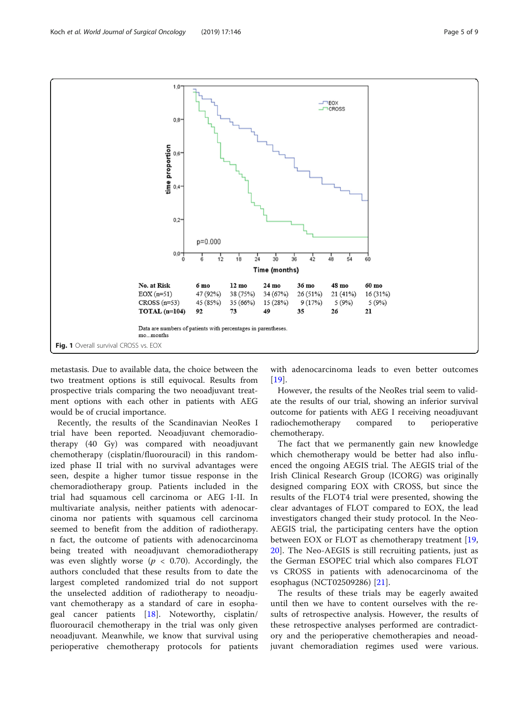<span id="page-4-0"></span>

metastasis. Due to available data, the choice between the two treatment options is still equivocal. Results from prospective trials comparing the two neoadjuvant treatment options with each other in patients with AEG would be of crucial importance.

Recently, the results of the Scandinavian NeoRes I trial have been reported. Neoadjuvant chemoradiotherapy (40 Gy) was compared with neoadjuvant chemotherapy (cisplatin/fluorouracil) in this randomized phase II trial with no survival advantages were seen, despite a higher tumor tissue response in the chemoradiotherapy group. Patients included in the trial had squamous cell carcinoma or AEG I-II. In multivariate analysis, neither patients with adenocarcinoma nor patients with squamous cell carcinoma seemed to benefit from the addition of radiotherapy. n fact, the outcome of patients with adenocarcinoma being treated with neoadjuvant chemoradiotherapy was even slightly worse ( $p < 0.70$ ). Accordingly, the authors concluded that these results from to date the largest completed randomized trial do not support the unselected addition of radiotherapy to neoadjuvant chemotherapy as a standard of care in esophageal cancer patients [\[18](#page-7-0)]. Noteworthy, cisplatin/ fluorouracil chemotherapy in the trial was only given neoadjuvant. Meanwhile, we know that survival using perioperative chemotherapy protocols for patients

with adenocarcinoma leads to even better outcomes [[19\]](#page-7-0).

However, the results of the NeoRes trial seem to validate the results of our trial, showing an inferior survival outcome for patients with AEG I receiving neoadjuvant radiochemotherapy compared to perioperative chemotherapy.

The fact that we permanently gain new knowledge which chemotherapy would be better had also influenced the ongoing AEGIS trial. The AEGIS trial of the Irish Clinical Research Group (ICORG) was originally designed comparing EOX with CROSS, but since the results of the FLOT4 trial were presented, showing the clear advantages of FLOT compared to EOX, the lead investigators changed their study protocol. In the Neo-AEGIS trial, the participating centers have the option between EOX or FLOT as chemotherapy treatment [\[19](#page-7-0), [20\]](#page-7-0). The Neo-AEGIS is still recruiting patients, just as the German ESOPEC trial which also compares FLOT vs CROSS in patients with adenocarcinoma of the esophagus (NCT02509286) [\[21](#page-7-0)].

The results of these trials may be eagerly awaited until then we have to content ourselves with the results of retrospective analysis. However, the results of these retrospective analyses performed are contradictory and the perioperative chemotherapies and neoadjuvant chemoradiation regimes used were various.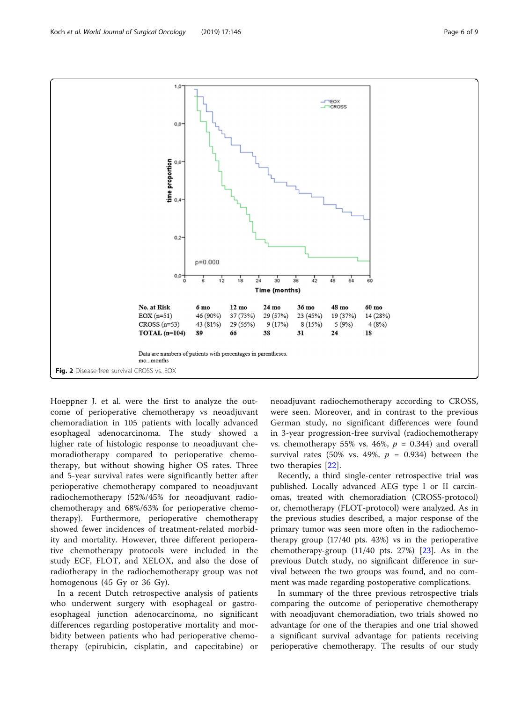<span id="page-5-0"></span>

Hoeppner J. et al. were the first to analyze the outcome of perioperative chemotherapy vs neoadjuvant chemoradiation in 105 patients with locally advanced esophageal adenocarcinoma. The study showed a higher rate of histologic response to neoadjuvant chemoradiotherapy compared to perioperative chemotherapy, but without showing higher OS rates. Three and 5-year survival rates were significantly better after perioperative chemotherapy compared to neoadjuvant radiochemotherapy (52%/45% for neoadjuvant radiochemotherapy and 68%/63% for perioperative chemotherapy). Furthermore, perioperative chemotherapy showed fewer incidences of treatment-related morbidity and mortality. However, three different perioperative chemotherapy protocols were included in the study ECF, FLOT, and XELOX, and also the dose of radiotherapy in the radiochemotherapy group was not homogenous (45 Gy or 36 Gy).

In a recent Dutch retrospective analysis of patients who underwent surgery with esophageal or gastroesophageal junction adenocarcinoma, no significant differences regarding postoperative mortality and morbidity between patients who had perioperative chemotherapy (epirubicin, cisplatin, and capecitabine) or

neoadjuvant radiochemotherapy according to CROSS, were seen. Moreover, and in contrast to the previous German study, no significant differences were found in 3-year progression-free survival (radiochemotherapy vs. chemotherapy 55% vs. 46%,  $p = 0.344$ ) and overall survival rates (50% vs. 49%,  $p = 0.934$ ) between the two therapies [[22\]](#page-7-0).

Recently, a third single-center retrospective trial was published. Locally advanced AEG type I or II carcinomas, treated with chemoradiation (CROSS-protocol) or, chemotherapy (FLOT-protocol) were analyzed. As in the previous studies described, a major response of the primary tumor was seen more often in the radiochemotherapy group (17/40 pts. 43%) vs in the perioperative chemotherapy-group  $(11/40$  pts. 27%)  $[23]$  $[23]$  $[23]$ . As in the previous Dutch study, no significant difference in survival between the two groups was found, and no comment was made regarding postoperative complications.

In summary of the three previous retrospective trials comparing the outcome of perioperative chemotherapy with neoadjuvant chemoradiation, two trials showed no advantage for one of the therapies and one trial showed a significant survival advantage for patients receiving perioperative chemotherapy. The results of our study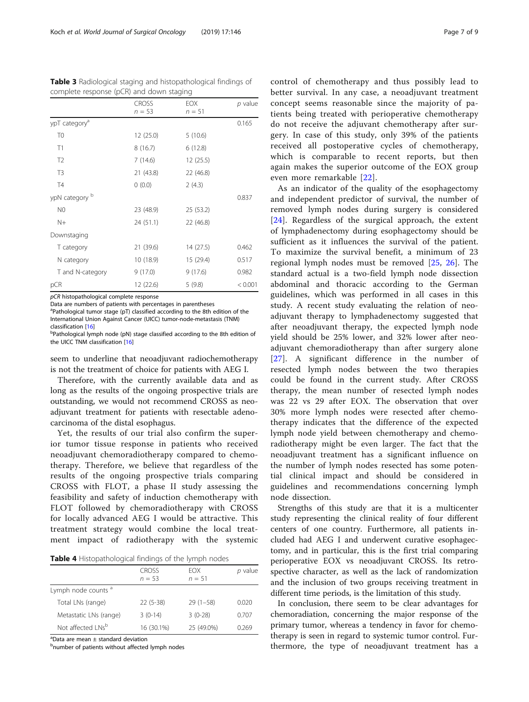| complete response (pert) and down staging |              |            |         |  |
|-------------------------------------------|--------------|------------|---------|--|
|                                           | <b>CROSS</b> | <b>EOX</b> | p value |  |
|                                           | $n = 53$     | $n = 51$   |         |  |
| ypT category <sup>a</sup>                 |              |            | 0.165   |  |
| T0                                        | 12 (25.0)    | 5(10.6)    |         |  |
| T1                                        | 8(16.7)      | 6(12.8)    |         |  |
| T <sub>2</sub>                            | 7(14.6)      | 12 (25.5)  |         |  |
| T <sub>3</sub>                            | 21 (43.8)    | 22 (46.8)  |         |  |
| <b>T4</b>                                 | 0(0.0)       | 2(4.3)     |         |  |
| ypN category b                            |              |            | 0.837   |  |
| N0                                        | 23 (48.9)    | 25 (53.2)  |         |  |
| $N+$                                      | 24 (51.1)    | 22 (46.8)  |         |  |
| Downstaging                               |              |            |         |  |
| T category                                | 21 (39.6)    | 14 (27.5)  | 0.462   |  |
| N category                                | 10 (18.9)    | 15 (29.4)  | 0.517   |  |
| T and N-category                          | 9(17.0)      | 9(17.6)    | 0.982   |  |
| pCR                                       | 12 (22.6)    | 5(9.8)     | < 0.001 |  |

<span id="page-6-0"></span>Table 3 Radiological staging and histopathological findings of complete response (pCR) and down staging

pCR histopathological complete response

Data are numbers of patients with percentages in parentheses

<sup>a</sup>Pathological tumor stage (pT) classified according to the 8th edition of the International Union Against Cancer (UICC) tumor-node-metastasis (TNM) classification [[16\]](#page-7-0)

<sup>b</sup>Pathological lymph node (pN) stage classified according to the 8th edition of the UICC TNM classification [[16\]](#page-7-0)

seem to underline that neoadjuvant radiochemotherapy is not the treatment of choice for patients with AEG I.

Therefore, with the currently available data and as long as the results of the ongoing prospective trials are outstanding, we would not recommend CROSS as neoadjuvant treatment for patients with resectable adenocarcinoma of the distal esophagus.

Yet, the results of our trial also confirm the superior tumor tissue response in patients who received neoadjuvant chemoradiotherapy compared to chemotherapy. Therefore, we believe that regardless of the results of the ongoing prospective trials comparing CROSS with FLOT, a phase II study assessing the feasibility and safety of induction chemotherapy with FLOT followed by chemoradiotherapy with CROSS for locally advanced AEG I would be attractive. This treatment strategy would combine the local treatment impact of radiotherapy with the systemic

|                                | <b>CROSS</b><br>$n = 53$ | <b>FOX</b><br>$n = 51$ | p value |
|--------------------------------|--------------------------|------------------------|---------|
| Lymph node counts <sup>a</sup> |                          |                        |         |
| Total LNs (range)              | $22(5-38)$               | $29(1-58)$             | 0.020   |
| Metastatic LNs (range)         | $3(0-14)$                | $3(0-28)$              | 0.707   |
| Not affected LNs <sup>b</sup>  | 16 (30.1%)               | 25 (49.0%)             | 0.269   |

 $^{\text{a}}$ Data are mean  $\pm$  standard deviation

<sup>b</sup>number of patients without affected lymph nodes

control of chemotherapy and thus possibly lead to better survival. In any case, a neoadjuvant treatment concept seems reasonable since the majority of patients being treated with perioperative chemotherapy do not receive the adjuvant chemotherapy after surgery. In case of this study, only 39% of the patients received all postoperative cycles of chemotherapy, which is comparable to recent reports, but then again makes the superior outcome of the EOX group even more remarkable [[22](#page-7-0)].

As an indicator of the quality of the esophagectomy and independent predictor of survival, the number of removed lymph nodes during surgery is considered [[24\]](#page-8-0). Regardless of the surgical approach, the extent of lymphadenectomy during esophagectomy should be sufficient as it influences the survival of the patient. To maximize the survival benefit, a minimum of 23 regional lymph nodes must be removed [\[25](#page-8-0), [26](#page-8-0)]. The standard actual is a two-field lymph node dissection abdominal and thoracic according to the German guidelines, which was performed in all cases in this study. A recent study evaluating the relation of neoadjuvant therapy to lymphadenectomy suggested that after neoadjuvant therapy, the expected lymph node yield should be 25% lower, and 32% lower after neoadjuvant chemoradiotherapy than after surgery alone [[27\]](#page-8-0). A significant difference in the number of resected lymph nodes between the two therapies could be found in the current study. After CROSS therapy, the mean number of resected lymph nodes was 22 vs 29 after EOX. The observation that over 30% more lymph nodes were resected after chemotherapy indicates that the difference of the expected lymph node yield between chemotherapy and chemoradiotherapy might be even larger. The fact that the neoadjuvant treatment has a significant influence on the number of lymph nodes resected has some potential clinical impact and should be considered in guidelines and recommendations concerning lymph node dissection.

Strengths of this study are that it is a multicenter study representing the clinical reality of four different centers of one country. Furthermore, all patients included had AEG I and underwent curative esophagectomy, and in particular, this is the first trial comparing perioperative EOX vs neoadjuvant CROSS. Its retrospective character, as well as the lack of randomization and the inclusion of two groups receiving treatment in different time periods, is the limitation of this study.

In conclusion, there seem to be clear advantages for chemoradiation, concerning the major response of the primary tumor, whereas a tendency in favor for chemotherapy is seen in regard to systemic tumor control. Furthermore, the type of neoadjuvant treatment has a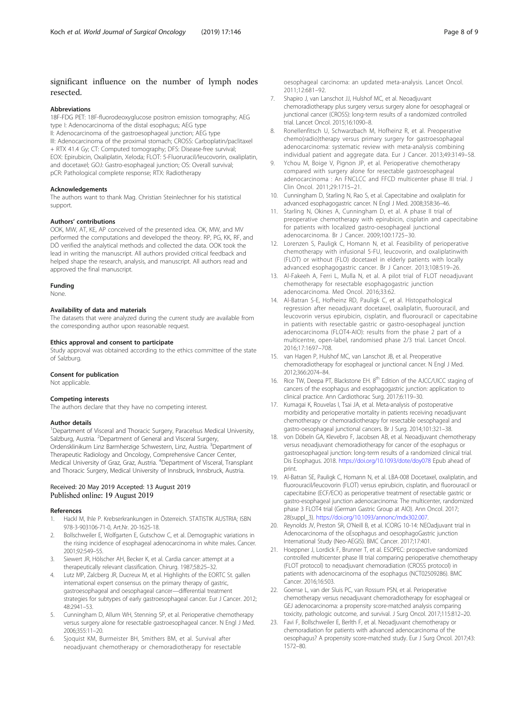## <span id="page-7-0"></span>significant influence on the number of lymph nodes resected.

#### Abbreviations

18F-FDG PET: 18F-fluorodeoxyglucose positron emission tomography; AEG type I: Adenocarcinoma of the distal esophagus; AEG type II: Adenocarcinoma of the gastroesophageal junction; AEG type III: Adenocarcinoma of the proximal stomach; CROSS: Carboplatin/paclitaxel + RTX 41.4 Gy; CT: Computed tomography; DFS: Disease-free survival; EOX: Epirubicin, Oxaliplatin, Xeloda; FLOT: 5-Fluoruracil/leucovorin, oxaliplatin, and docetaxel; GOJ: Gastro-esophageal junction; OS: Overall survival; pCR: Pathological complete response; RTX: Radiotherapy

## Acknowledgements

The authors want to thank Mag. Christian Steinlechner for his statistical support.

#### Authors' contributions

OOK, MW, AT, KE, AP conceived of the presented idea. OK, MW, and MV performed the computations and developed the theory. RP, PG, KK, RF, and DÖ verified the analytical methods and collected the data. OOK took the lead in writing the manuscript. All authors provided critical feedback and helped shape the research, analysis, and manuscript. All authors read and approved the final manuscript.

## Funding

None.

## Availability of data and materials

The datasets that were analyzed during the current study are available from the corresponding author upon reasonable request.

#### Ethics approval and consent to participate

Study approval was obtained according to the ethics committee of the state of Salzburg.

#### Consent for publication

Not applicable.

#### Competing interests

The authors declare that they have no competing interest.

## Author details

<sup>1</sup>Department of Visceral and Thoracic Surgery, Paracelsus Medical University, Salzburg, Austria. <sup>2</sup>Department of General and Visceral Surgery, Ordensklinikum Linz Barmherzige Schwestern, Linz, Austria. <sup>3</sup>Department of Therapeutic Radiology and Oncology, Comprehensive Cancer Center, Medical University of Graz, Graz, Austria. <sup>4</sup> Department of Visceral, Transplant and Thoracic Surgery, Medical University of Innsbruck, Innsbruck, Austria.

## Received: 20 May 2019 Accepted: 13 August 2019 Published online: 19 August 2019

#### References

- 1. Hackl M, Ihle P. Krebserkrankungen in Österreich. STATISTIK AUSTRIA; ISBN 978-3-903106-71-0, Art.Nr. 20-1625-18.
- 2. Bollschweiler E, Wolfgarten E, Gutschow C, et al. Demographic variations in the rising incidence of esophageal adenocarcinoma in white males. Cancer. 2001;92:549–55.
- Siewert JR, Hölscher AH, Becker K, et al. Cardia cancer: attempt at a therapeutically relevant classification. Chirurg. 1987;58:25–32.
- Lutz MP, Zalcberg JR, Ducreux M, et al. Highlights of the EORTC St. gallen international expert consensus on the primary therapy of gastric, gastroesophageal and oesophageal cancer—differential treatment strategies for subtypes of early gastroesophageal cancer. Eur J Cancer. 2012; 48:2941–53.
- 5. Cunningham D, Allum WH, Stenning SP, et al. Perioperative chemotherapy versus surgery alone for resectable gastroesophageal cancer. N Engl J Med. 2006;355:11–20.
- 6. Sjoquist KM, Burmeister BH, Smithers BM, et al. Survival after neoadjuvant chemotherapy or chemoradiotherapy for resectable

oesophageal carcinoma: an updated meta-analysis. Lancet Oncol. 2011;12:681–92.

- 7. Shapiro J, van Lanschot JJ, Hulshof MC, et al. Neoadjuvant chemoradiotherapy plus surgery versus surgery alone for oesophageal or junctional cancer (CROSS): long-term results of a randomized controlled trial. Lancet Oncol. 2015;16:1090–8.
- 8. Ronellenfitsch U, Schwarzbach M, Hofheinz R, et al. Preoperative chemo(radio)therapy versus primary surgery for gastroesophageal adenocarcinoma: systematic review with meta-analysis combining individual patient and aggregate data. Eur J Cancer. 2013;49:3149–58.
- 9. Ychou M, Boige V, Pignon JP, et al. Perioperative chemotherapy compared with surgery alone for resectable gastroesophageal adenocarcinoma : An FNCLCC and FFCD multicenter phase III trial. J Clin Oncol. 2011;29:1715–21.
- 10. Cunningham D, Starling N, Rao S, et al. Capecitabine and oxaliplatin for advanced esophagogastric cancer. N Engl J Med. 2008;358:36–46.
- 11. Starling N, Okines A, Cunningham D, et al. A phase II trial of preoperative chemotherapy with epirubicin, cisplatin and capecitabine for patients with localized gastro-oesophageal junctional adenocarcinoma. Br J Cancer. 2009;100:1725–30.
- 12. Lorenzen S, Pauligk C, Homann N, et al. Feasibility of perioperative chemotherapy with infusional 5-FU, leucovorin, and oxaliplatinwith (FLOT) or without (FLO) docetaxel in elderly patients with locally advanced esophagogastric cancer. Br J Cancer. 2013;108:519–26.
- 13. Al-Fakeeh A, Ferri L, Mulla N, et al. A pilot trial of FLOT neoadjuvant chemotherapy for resectable esophagogastric junction adenocarcinoma. Med Oncol. 2016;33:62.
- 14. Al-Batran S-E, Hofheinz RD, Pauligk C, et al. Histopathological regression after neoadjuvant docetaxel, oxaliplatin, fluorouracil, and leucovorin versus epirubicin, cisplatin, and fluorouracil or capecitabine in patients with resectable gastric or gastro-oesophageal junction adenocarcinoma (FLOT4-AIO): results from the phase 2 part of a multicentre, open-label, randomised phase 2/3 trial. Lancet Oncol. 2016;17:1697–708.
- 15. van Hagen P, Hulshof MC, van Lanschot JB, et al. Preoperative chemoradiotherapy for esophageal or junctional cancer. N Engl J Med. 2012;366:2074–84.
- 16. Rice TW, Deepa PT, Blackstone EH. 8<sup>th</sup> Edition of the AJCC/UICC staging of cancers of the esophagus and esophagogastric junction: application to clinical practice. Ann Cardiothorac Surg. 2017;6:119–30.
- 17. Kumagai K, Rouvelas I, Tsai JA, et al. Meta-analysis of postoperative morbidity and perioperative mortality in patients receiving neoadjuvant chemotherapy or chemoradiotherapy for resectable oesophageal and gastro-oesophageal junctional cancers. Br J Surg. 2014;101:321–38.
- 18. von Döbeln GA, Klevebro F, Jacobsen AB, et al. Neoadjuvant chemotherapy versus neoadjuvant chemoradiotherapy for cancer of the esophagus or gastroesophageal junction: long-term results of a randomized clinical trial. Dis Esophagus. 2018. <https://doi.org/10.1093/dote/doy078> Epub ahead of print.
- 19. Al-Batran SE, Pauligk C, Homann N, et al. LBA-008 Docetaxel, oxaliplatin, and fluorouracil/leucovorin (FLOT) versus epirubicin, cisplatin, and fluorouracil or capecitabine (ECF/ECX) as perioperative treatment of resectable gastric or gastro-esophageal junction adenocarcinoma: The multicenter, randomized phase 3 FLOT4 trial (German Gastric Group at AIO). Ann Oncol. 2017; 28(suppl\_3). <https://doi.org/10.1093/annonc/mdx302.007>.
- 20. Reynolds JV, Preston SR, O'Neill B, et al. ICORG 10-14: NEOadjuvant trial in Adenocarcinoma of the oEsophagus and oesophagoGastric junction International Study (Neo-AEGIS). BMC Cancer. 2017;17:401.
- 21. Hoeppner J, Lordick F, Brunner T, et al. ESOPEC: prospective randomized controlled multicenter phase III trial comparing perioperative chemotherapy (FLOT protocol) to neoadjuvant chemoradiation (CROSS protocol) in patients with adenocarcinoma of the esophagus (NCT02509286). BMC Cancer. 2016;16:503.
- 22. Goense L, van der Sluis PC, van Rossum PSN, et al. Perioperative chemotherapy versus neoadjuvant chemoradiotherapy for esophageal or GEJ adenocarcinoma: a propensity score-matched analysis comparing toxicity, pathologic outcome, and survival. J Surg Oncol. 2017;115:812–20.
- 23. Favi F, Bollschweiler E, Berlth F, et al. Neoadjuvant chemotherapy or chemoradiation for patients with advanced adenocarcinoma of the oesophagus? A propensity score-matched study. Eur J Surg Oncol. 2017;43: 1572–80.